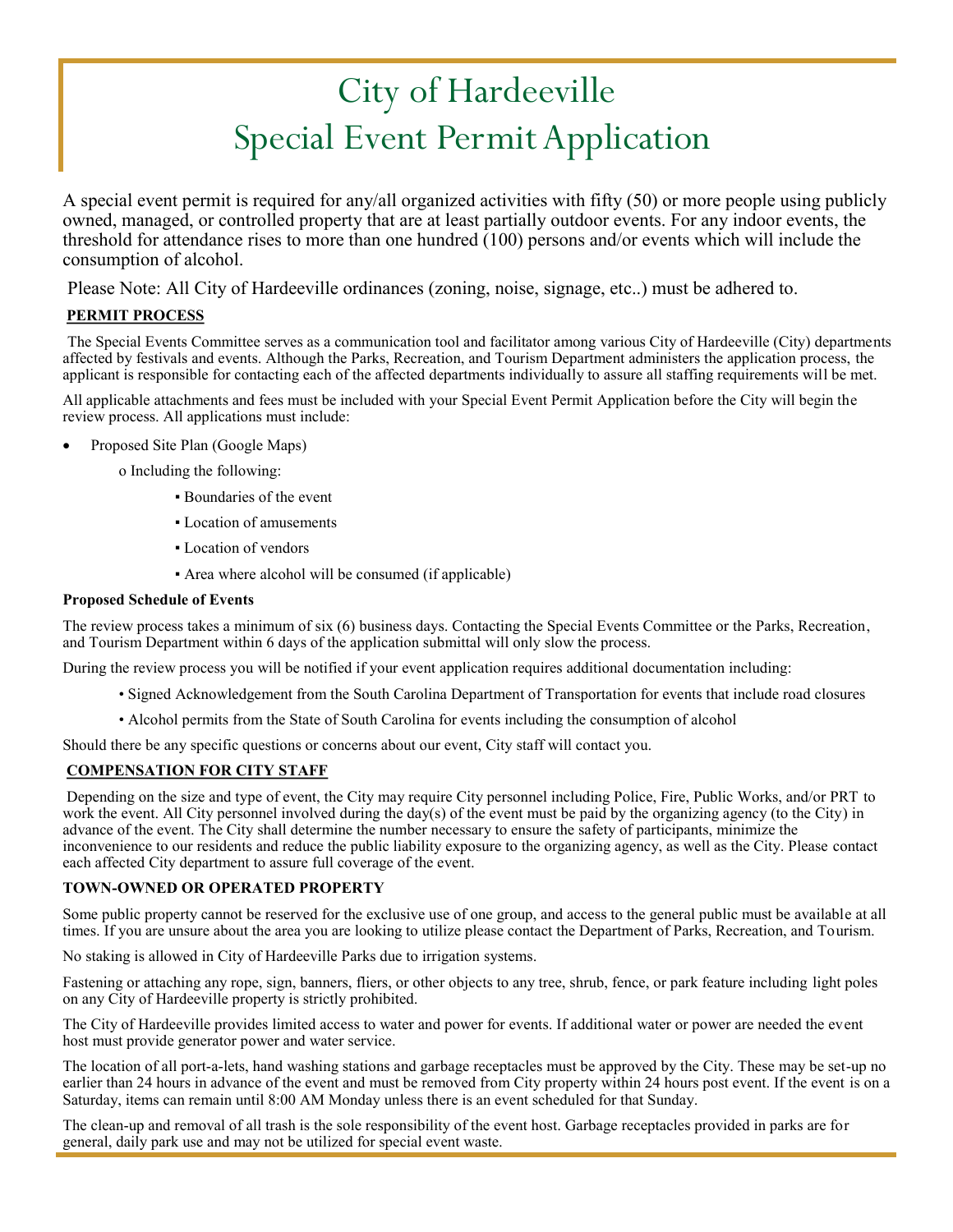# City of Hardeeville Special Event Permit Application

A special event permit is required for any/all organized activities with fifty (50) or more people using publicly owned, managed, or controlled property that are at least partially outdoor events. For any indoor events, the threshold for attendance rises to more than one hundred  $(100)$  persons and/or events which will include the consumption of alcohol.

Please Note: All City of Hardeeville ordinances (zoning, noise, signage, etc..) must be adhered to.

## **PERMIT PROCESS**

The Special Events Committee serves as a communication tool and facilitator among various City of Hardeeville (City) departments affected by festivals and events. Although the Parks, Recreation, and Tourism Department administers the application process, the applicant is responsible for contacting each of the affected departments individually to assure all staffing requirements will be met.

All applicable attachments and fees must be included with your Special Event Permit Application before the City will begin the review process. All applications must include:

- Proposed Site Plan (Google Maps)
	- o Including the following:
		- Boundaries of the event
		- Location of amusements
		- Location of vendors
		- Area where alcohol will be consumed (if applicable)

## **Proposed Schedule of Events**

The review process takes a minimum of six (6) business days. Contacting the Special Events Committee or the Parks, Recreation, and Tourism Department within 6 days of the application submittal will only slow the process.

During the review process you will be notified if your event application requires additional documentation including:

- Signed Acknowledgement from the South Carolina Department of Transportation for events that include road closures
- Alcohol permits from the State of South Carolina for events including the consumption of alcohol

Should there be any specific questions or concerns about our event, City staff will contact you.

## **COMPENSATION FOR CITY STAFF**

Depending on the size and type of event, the City may require City personnel including Police, Fire, Public Works, and/or PRT to work the event. All City personnel involved during the day(s) of the event must be paid by the organizing agency (to the City) in advance of the event. The City shall determine the number necessary to ensure the safety of participants, minimize the inconvenience to our residents and reduce the public liability exposure to the organizing agency, as well as the City. Please contact each affected City department to assure full coverage of the event.

#### **TOWN-OWNED OR OPERATED PROPERTY**

Some public property cannot be reserved for the exclusive use of one group, and access to the general public must be available at all times. If you are unsure about the area you are looking to utilize please contact the Department of Parks, Recreation, and Tourism.

No staking is allowed in City of Hardeeville Parks due to irrigation systems.

Fastening or attaching any rope, sign, banners, fliers, or other objects to any tree, shrub, fence, or park feature including light poles on any City of Hardeeville property is strictly prohibited.

The City of Hardeeville provides limited access to water and power for events. If additional water or power are needed the event host must provide generator power and water service.

The location of all port-a-lets, hand washing stations and garbage receptacles must be approved by the City. These may be set-up no earlier than 24 hours in advance of the event and must be removed from City property within 24 hours post event. If the event is on a Saturday, items can remain until 8:00 AM Monday unless there is an event scheduled for that Sunday.

The clean-up and removal of all trash is the sole responsibility of the event host. Garbage receptacles provided in parks are for general, daily park use and may not be utilized for special event waste.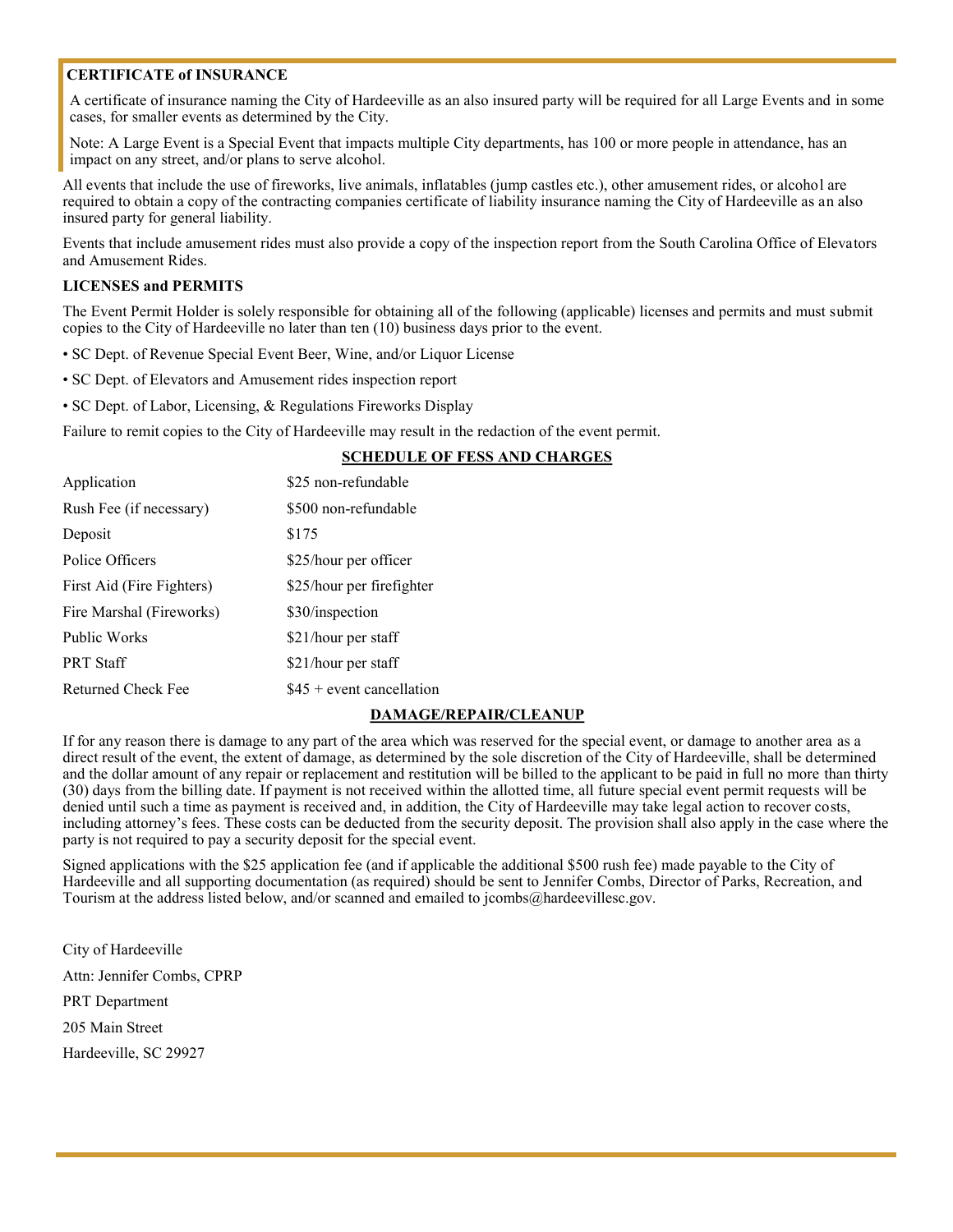## **CERTIFICATE of INSURANCE**

A certificate of insurance naming the City of Hardeeville as an also insured party will be required for all Large Events and in some cases, for smaller events as determined by the City.

Note: A Large Event is a Special Event that impacts multiple City departments, has 100 or more people in attendance, has an impact on any street, and/or plans to serve alcohol.

All events that include the use of fireworks, live animals, inflatables (jump castles etc.), other amusement rides, or alcohol are required to obtain a copy of the contracting companies certificate of liability insurance naming the City of Hardeeville as an also insured party for general liability.

Events that include amusement rides must also provide a copy of the inspection report from the South Carolina Office of Elevators and Amusement Rides.

#### **LICENSES and PERMITS**

The Event Permit Holder is solely responsible for obtaining all of the following (applicable) licenses and permits and must submit copies to the City of Hardeeville no later than ten (10) business days prior to the event.

- SC Dept. of Revenue Special Event Beer, Wine, and/or Liquor License
- SC Dept. of Elevators and Amusement rides inspection report
- SC Dept. of Labor, Licensing, & Regulations Fireworks Display

Failure to remit copies to the City of Hardeeville may result in the redaction of the event permit.

#### **SCHEDULE OF FESS AND CHARGES**

| Application               | \$25 non-refundable        |
|---------------------------|----------------------------|
| Rush Fee (if necessary)   | \$500 non-refundable       |
| Deposit                   | \$175                      |
| Police Officers           | \$25/hour per officer      |
| First Aid (Fire Fighters) | \$25/hour per firefighter  |
| Fire Marshal (Fireworks)  | \$30/inspection            |
| <b>Public Works</b>       | \$21/hour per staff        |
| <b>PRT Staff</b>          | \$21/hour per staff        |
| Returned Check Fee        | $$45 +$ event cancellation |

#### **DAMAGE/REPAIR/CLEANUP**

If for any reason there is damage to any part of the area which was reserved for the special event, or damage to another area as a direct result of the event, the extent of damage, as determined by the sole discretion of the City of Hardeeville, shall be determined and the dollar amount of any repair or replacement and restitution will be billed to the applicant to be paid in full no more than thirty (30) days from the billing date. If payment is not received within the allotted time, all future special event permit requests will be denied until such a time as payment is received and, in addition, the City of Hardeeville may take legal action to recover costs, including attorney's fees. These costs can be deducted from the security deposit. The provision shall also apply in the case where the party is not required to pay a security deposit for the special event.

Signed applications with the \$25 application fee (and if applicable the additional \$500 rush fee) made payable to the City of Hardeeville and all supporting documentation (as required) should be sent to Jennifer Combs, Director of Parks, Recreation, and Tourism at the address listed below, and/or scanned and emailed to jcombs@hardeevillesc.gov.

City of Hardeeville Attn: Jennifer Combs, CPRP PRT Department 205 Main Street Hardeeville, SC 29927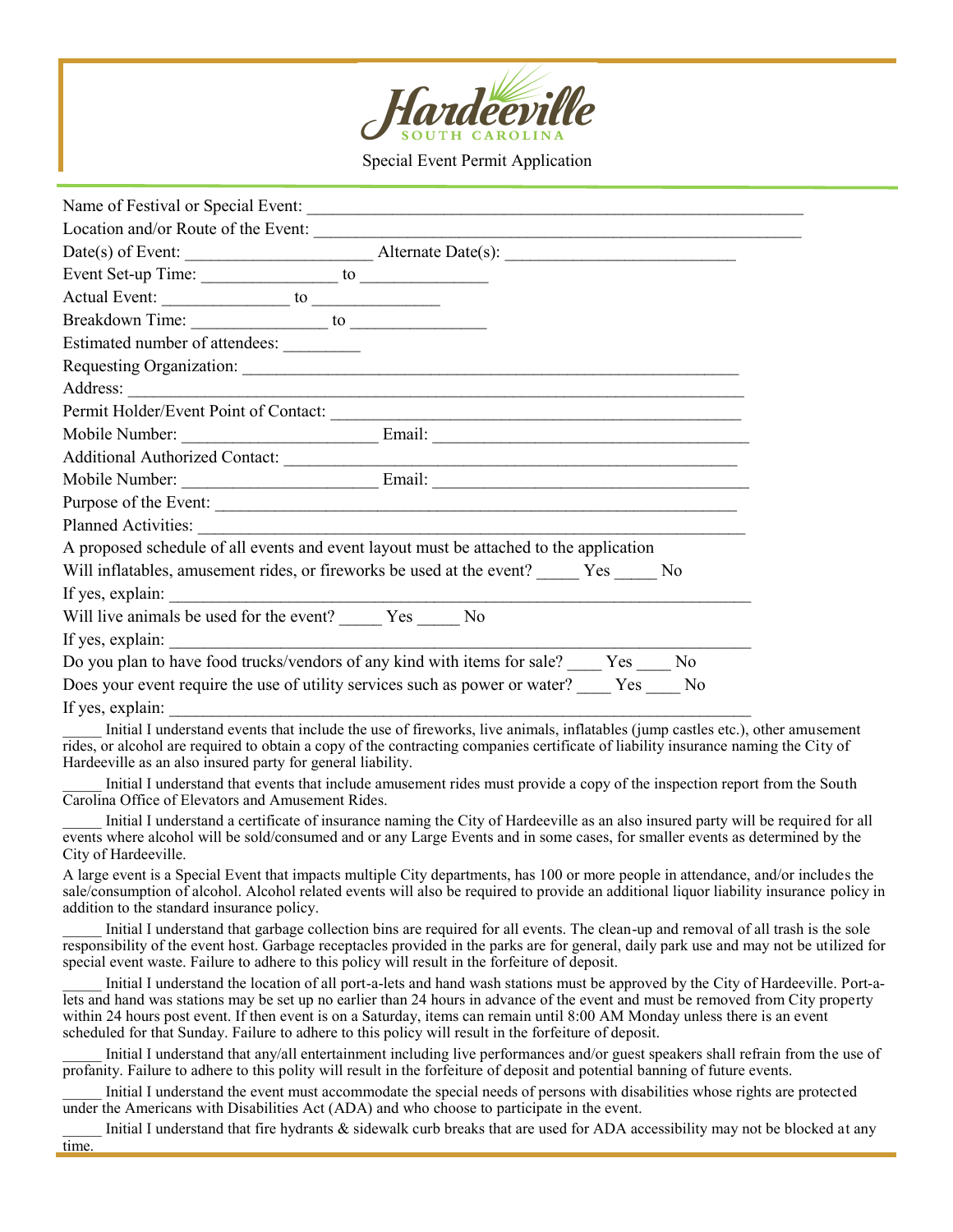

Special Event Permit Application

| Location and/or Route of the Event:                                                                                                                                                                                            |
|--------------------------------------------------------------------------------------------------------------------------------------------------------------------------------------------------------------------------------|
|                                                                                                                                                                                                                                |
| Event Set-up Time: to to the contract of the contract of the contract of the contract of the contract of the contract of the contract of the contract of the contract of the contract of the contract of the contract of the c |
|                                                                                                                                                                                                                                |
|                                                                                                                                                                                                                                |
| Estimated number of attendees:                                                                                                                                                                                                 |
| Requesting Organization:                                                                                                                                                                                                       |
|                                                                                                                                                                                                                                |
| Permit Holder/Event Point of Contact:                                                                                                                                                                                          |
|                                                                                                                                                                                                                                |
|                                                                                                                                                                                                                                |
|                                                                                                                                                                                                                                |
| Purpose of the Event:                                                                                                                                                                                                          |
|                                                                                                                                                                                                                                |
| A proposed schedule of all events and event layout must be attached to the application                                                                                                                                         |
| Will inflatables, amusement rides, or fireworks be used at the event? Yes No                                                                                                                                                   |
|                                                                                                                                                                                                                                |
| Will live animals be used for the event? ________ Yes _______ No                                                                                                                                                               |
| If yes, explain:                                                                                                                                                                                                               |
| Do you plan to have food trucks/vendors of any kind with items for sale? Yes No                                                                                                                                                |
| Does your event require the use of utility services such as power or water? Yes No                                                                                                                                             |
| If yes, explain:                                                                                                                                                                                                               |

Initial I understand events that include the use of fireworks, live animals, inflatables (jump castles etc.), other amusement rides, or alcohol are required to obtain a copy of the contracting companies certificate of liability insurance naming the City of Hardeeville as an also insured party for general liability.

Initial I understand that events that include amusement rides must provide a copy of the inspection report from the South Carolina Office of Elevators and Amusement Rides.

\_\_\_\_\_ Initial I understand a certificate of insurance naming the City of Hardeeville as an also insured party will be required for all events where alcohol will be sold/consumed and or any Large Events and in some cases, for smaller events as determined by the City of Hardeeville.

A large event is a Special Event that impacts multiple City departments, has 100 or more people in attendance, and/or includes the sale/consumption of alcohol. Alcohol related events will also be required to provide an additional liquor liability insurance policy in addition to the standard insurance policy.

Initial I understand that garbage collection bins are required for all events. The clean-up and removal of all trash is the sole responsibility of the event host. Garbage receptacles provided in the parks are for general, daily park use and may not be utilized for special event waste. Failure to adhere to this policy will result in the forfeiture of deposit.

Initial I understand the location of all port-a-lets and hand wash stations must be approved by the City of Hardeeville. Port-alets and hand was stations may be set up no earlier than 24 hours in advance of the event and must be removed from City property within 24 hours post event. If then event is on a Saturday, items can remain until 8:00 AM Monday unless there is an event scheduled for that Sunday. Failure to adhere to this policy will result in the forfeiture of deposit.

Initial I understand that any/all entertainment including live performances and/or guest speakers shall refrain from the use of profanity. Failure to adhere to this polity will result in the forfeiture of deposit and potential banning of future events.

Initial I understand the event must accommodate the special needs of persons with disabilities whose rights are protected under the Americans with Disabilities Act (ADA) and who choose to participate in the event.

Initial I understand that fire hydrants & sidewalk curb breaks that are used for ADA accessibility may not be blocked at any time.